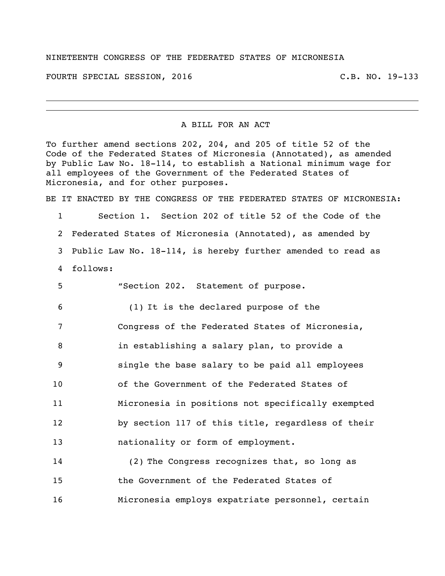## NINETEENTH CONGRESS OF THE FEDERATED STATES OF MICRONESIA

FOURTH SPECIAL SESSION, 2016 C.B. NO. 19-133

A BILL FOR AN ACT

To further amend sections 202, 204, and 205 of title 52 of the Code of the Federated States of Micronesia (Annotated), as amended by Public Law No. 18-114, to establish a National minimum wage for all employees of the Government of the Federated States of Micronesia, and for other purposes.

BE IT ENACTED BY THE CONGRESS OF THE FEDERATED STATES OF MICRONESIA:

 Section 1. Section 202 of title 52 of the Code of the Federated States of Micronesia (Annotated), as amended by Public Law No. 18-114, is hereby further amended to read as follows:

 "Section 202. Statement of purpose. (1) It is the declared purpose of the Congress of the Federated States of Micronesia, in establishing a salary plan, to provide a single the base salary to be paid all employees of the Government of the Federated States of Micronesia in positions not specifically exempted by section 117 of this title, regardless of their **nationality or form of employment.** 

 (2) The Congress recognizes that, so long as the Government of the Federated States of Micronesia employs expatriate personnel, certain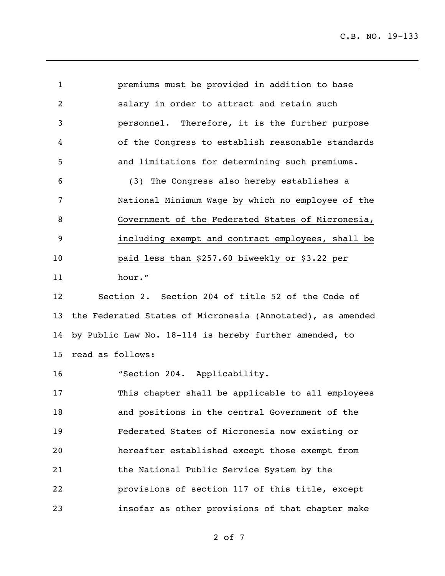C.B. NO. 19-133

| $\mathbf{1}$   | premiums must be provided in addition to base              |
|----------------|------------------------------------------------------------|
| $\overline{c}$ | salary in order to attract and retain such                 |
| 3              | personnel. Therefore, it is the further purpose            |
| 4              | of the Congress to establish reasonable standards          |
| 5              | and limitations for determining such premiums.             |
| 6              | (3) The Congress also hereby establishes a                 |
| 7              | National Minimum Wage by which no employee of the          |
| 8              | Government of the Federated States of Micronesia,          |
| 9              | including exempt and contract employees, shall be          |
| 10             | paid less than \$257.60 biweekly or \$3.22 per             |
| 11             | hour."                                                     |
| 12             | Section 2. Section 204 of title 52 of the Code of          |
| 13             | the Federated States of Micronesia (Annotated), as amended |
| 14             | by Public Law No. 18-114 is hereby further amended, to     |
| 15             | read as follows:                                           |
| 16             | "Section 204. Applicability.                               |
| 17             | This chapter shall be applicable to all employees          |
| 18             |                                                            |
|                | and positions in the central Government of the             |
| 19             | Federated States of Micronesia now existing or             |
| 20             | hereafter established except those exempt from             |
| 21             | the National Public Service System by the                  |
| 22             | provisions of section 117 of this title, except            |

of 7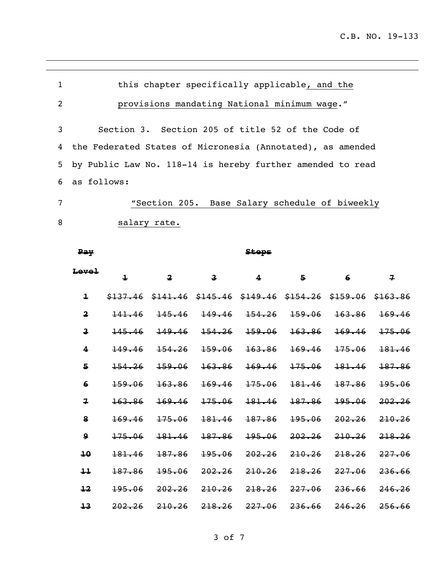| 1 | this chapter specifically applicable, and the              |
|---|------------------------------------------------------------|
| 2 | provisions mandating National minimum wage."               |
| 3 | Section 3. Section 205 of title 52 of the Code of          |
| 4 | the Federated States of Micronesia (Annotated), as amended |
| 5 | by Public Law No. 118-14 is hereby further amended to read |
|   | 6 as follows:                                              |
| 7 | "Section 205. Base Salary schedule of biweekly             |
| 8 | salary rate.                                               |

| Pay                     |                         |                         |                         | <b>Steps</b>                                                          |         |        |                         |
|-------------------------|-------------------------|-------------------------|-------------------------|-----------------------------------------------------------------------|---------|--------|-------------------------|
| Level                   | $\overline{\mathbf{1}}$ | $\overline{\mathbf{2}}$ | $\overline{\mathbf{3}}$ | 4                                                                     | 5       | 6      | $\overline{\mathbf{z}}$ |
| $\ddagger$              |                         |                         |                         | $$137.46$ $$141.46$ $$145.46$ $$149.46$ $$154.26$ $$159.06$ $$163.86$ |         |        |                         |
| $\overline{\mathbf{2}}$ | 141.46                  | 145.46                  | 149.46                  | 154, 26                                                               | 159.06  | 163.86 | 169.46                  |
| 3                       | 145.46                  | 149.46                  | 154.26                  | 159.06                                                                | 163.86  | 169.46 | 175.06                  |
| $\overline{\mathbf{4}}$ | 149.46                  | 154, 26                 | 159.06                  | 163.86                                                                | 169.46  | 175.06 | 181.46                  |
| 5                       | 154.26                  | 159.06                  | 163.86                  | 169.46                                                                | 175.06  | 181.46 | 187.86                  |
| $6 \overline{6}$        | 159.06                  | 163.86                  | 169.46                  | 175.06                                                                | 181.46  | 187.86 | 195.06                  |
| $\overline{\mathbf{z}}$ | 163.86                  | 169.46                  | 175.06                  | 181.46                                                                | 187.86  | 195.06 | 202, 26                 |
| 8                       | 169.46                  | 175.06                  | 181.46                  | 187.86                                                                | 195.06  | 202.26 | 210.26                  |
| $\mathbf{Q}$            | 175.06                  | 181.46                  | 187.86                  | 195.06                                                                | 202.26  | 210.26 | 218, 26                 |
| 10                      | 181.46                  | 187.86                  | 195.06                  | 202, 26                                                               | 210.26  | 218.26 | 227.06                  |
| 11                      | 187.86                  | 195.06                  | 202.26                  | 210.26                                                                | 218, 26 | 227.06 | 236.66                  |
| $\overline{12}$         | 195.06                  | 202, 26                 | 210.26                  | 218, 26                                                               | 227.06  | 236.66 | 246, 26                 |
| 13                      | 202, 26                 | 210, 26                 | 218, 26                 | 227.06                                                                | 236.66  | 246.26 | 256.66                  |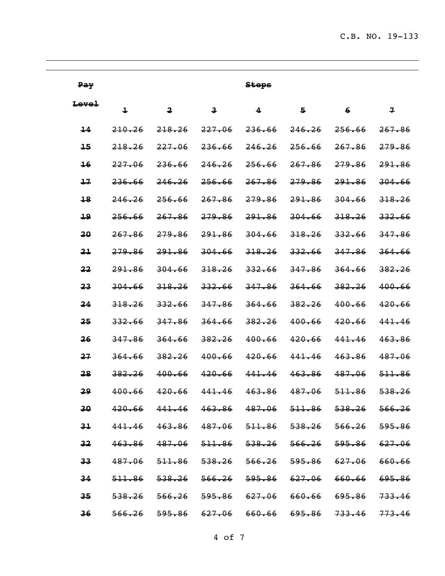$\overline{\phantom{0}}$ 

| Pay             |                         |                                                                            |                                    | <b>Steps</b> |        |                          |                |
|-----------------|-------------------------|----------------------------------------------------------------------------|------------------------------------|--------------|--------|--------------------------|----------------|
| Level           | $\overline{\mathbf{1}}$ | $\overline{\mathbf{2}}$                                                    | $\mathbf{3}$                       | 4            | 5      | $6\phantom{1}$           | $\overline{1}$ |
| 14              | 210.26                  | 218.26                                                                     | 227.06                             | 236.66       | 246.26 | 256.66                   | 267.86         |
| 15              | 218.26                  | 227.06                                                                     | 236.66                             | 246.26       | 256.66 | 267.86                   | 279.86         |
| $\overline{16}$ | 227.06                  | 236.66                                                                     | 246.26                             | 256.66       | 267.86 | 279.86                   | 291.86         |
| 17              | 236.66                  | 246.26                                                                     | 256.66                             | 267.86       | 279.86 | 291.86                   | 304.66         |
| 18              | 246.26                  | 256.66                                                                     | 267.86                             | 279.86       | 291.86 | 304.66                   | 318.26         |
| 19              | 256.66                  | 267.86                                                                     | 279.86                             | 291.86       | 304.66 | 318.26                   | 332.66         |
| 20              | 267.86                  | 279.86                                                                     | 291.86                             | 304.66       | 318.26 | 332.66                   | 347.86         |
| 21              | 279.86                  | 291.86                                                                     | 304.66                             | 318.26       | 332.66 | 347.86                   | 364.66         |
| 22              | 291.86                  | 304.66                                                                     | 318.26                             | 332.66       | 347.86 | 364.66                   | 382.26         |
| 23              | 304.66                  | 318.26                                                                     | 332.66                             | 347.86       | 364.66 | 382.26                   | 400.66         |
| $\overline{24}$ | 318.26                  | 332.66                                                                     | 347.86                             | 364.66       | 382.26 | 400.66                   | 420.66         |
| 25              | 332.66                  | 347.86                                                                     | 364.66                             | 382.26       | 400.66 | 420.66                   | 441.46         |
| 26              | 347.86                  | 364.66                                                                     | 382.26                             | 400.66       | 420.66 | 441.46                   | 463.86         |
| 27              | 364.66                  | 382.26                                                                     | 400.66                             | 420.66       | 441.46 | 463.86                   | 487.06         |
| 28              | 382.26                  | 400.66                                                                     | 420.66                             | 441.46       | 463.86 | 487.06                   | 511.86         |
| 29              | 400.66                  | 420.66                                                                     | 441.46                             | 463.86       | 487.06 | 511.86                   | 538.26         |
| 30 <sub>2</sub> | 420.66                  | 441.46 463.86 487.06 511.86 538.26                                         |                                    |              |        |                          | 566.26         |
| $3+$            |                         | 441.46 463.86 487.06 511.86 538.26 566.26                                  |                                    |              |        |                          | 595.86         |
| 32              | 463.86                  |                                                                            | 487.06 511.86 538.26 566.26 595.86 |              |        |                          | 627.06         |
| 33              | 487.06                  |                                                                            |                                    |              |        | <del>595.86</del> 627.06 | 660.66         |
| 34              | 511.86                  |                                                                            | 538.26 566.26 595.86 627.06 660.66 |              |        |                          | 695.86         |
| 35              |                         | <del>538.26</del> <del>566.26</del> <del>595.86 627.06 660.66 695.86</del> |                                    |              |        |                          | 733.46         |
| 36              |                         |                                                                            |                                    |              |        |                          | 773.46         |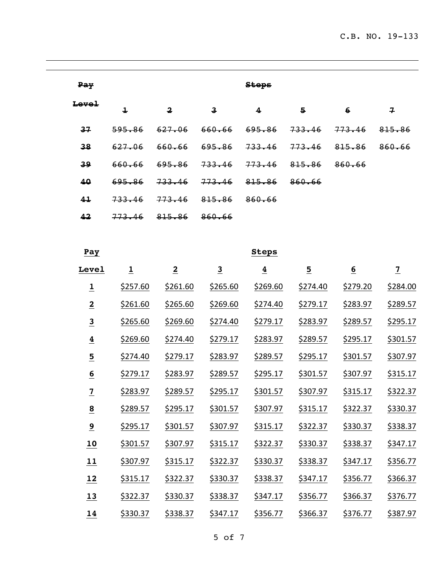| <b>Pay</b> | <b>Steps</b> |                         |                         |                   |        |        |        |  |  |  |
|------------|--------------|-------------------------|-------------------------|-------------------|--------|--------|--------|--|--|--|
| Level      | 1            | $\overline{\mathbf{2}}$ | $\overline{\mathbf{3}}$ | 4                 | Б.     | 6      | 구      |  |  |  |
| 37         | 595.86       | 627.06                  | 660.66                  | <del>695.86</del> | 733.46 | 773.46 | 815.86 |  |  |  |
| 38         | 627.06       | 660.66                  | <del>695.86</del>       | <del>733.46</del> | 773.46 | 815.86 | 860.66 |  |  |  |
| 39         | 660.66       | 695.86                  | 733.46                  | 773.46            | 815.86 | 860.66 |        |  |  |  |
| 40         | 695.86       | 733.46                  | 773.46                  | 815.86            | 860.66 |        |        |  |  |  |
| 41         | 733.46       | 773.46                  | 815.86                  | 860.66            |        |        |        |  |  |  |
| 42         | 773.46       | 815.86                  | 860.66                  |                   |        |        |        |  |  |  |

| Pay                     |                 |                |                         | <b>Steps</b>   |                         |                 |                |
|-------------------------|-----------------|----------------|-------------------------|----------------|-------------------------|-----------------|----------------|
| Level                   | $\overline{1}$  | $\overline{2}$ | $\overline{\mathbf{3}}$ | $\overline{4}$ | $\overline{\mathbf{5}}$ | $\underline{6}$ | $\overline{1}$ |
| $\overline{\mathbf{1}}$ | \$257.60        | \$261.60       | \$265.60                | \$269.60       | \$274.40                | \$279.20        | \$284.00       |
| $\overline{2}$          | \$261.60        | \$265.60       | \$269.60                | \$274.40       | \$279.17                | \$283.97        | \$289.57       |
| $\overline{\mathbf{3}}$ | \$265.60        | \$269.60       | \$274.40                | \$279.17       | \$283.97                | \$289.57        | \$295.17       |
| $\overline{4}$          | \$269.60        | \$274.40       | \$279.17                | \$283.97       | \$289.57                | <u>\$295.17</u> | \$301.57       |
| $\overline{\mathbf{5}}$ | \$274.40        | \$279.17       | \$283.97                | \$289.57       | \$295.17                | \$301.57        | \$307.97       |
| $\underline{6}$         | \$279.17        | \$283.97       | \$289.57                | \$295.17       | \$301.57                | \$307.97        | \$315.17       |
| $\overline{1}$          | \$283.97        | \$289.57       | \$295.17                | \$301.57       | \$307.97                | \$315.17        | \$322.37       |
| $\overline{\mathbf{8}}$ | \$289.57        | \$295.17       | \$301.57                | \$307.97       | \$315.17                | \$322.37        | \$330.37       |
| $\overline{9}$          | \$295.17        | \$301.57       | \$307.97                | \$315.17       | \$322.37                | \$330.37        | \$338.37       |
| 10                      | \$301.57        | \$307.97       | \$315.17                | \$322.37       | \$330.37                | \$338.37        | \$347.17       |
| 11                      | \$307.97        | \$315.17       | \$322.37                | \$330.37       | \$338.37                | \$347.17        | \$356.77       |
| 12                      | <u>\$315.17</u> | \$322.37       | \$330.37                | \$338.37       | \$347.17                | \$356.77        | \$366.37       |
| 13                      | \$322.37        | \$330.37       | \$338.37                | \$347.17       | \$356.77                | \$366.37        | \$376.77       |
| 14                      | \$330.37        | \$338.37       | \$347.17                | \$356.77       | \$366.37                | \$376.77        | \$387.97       |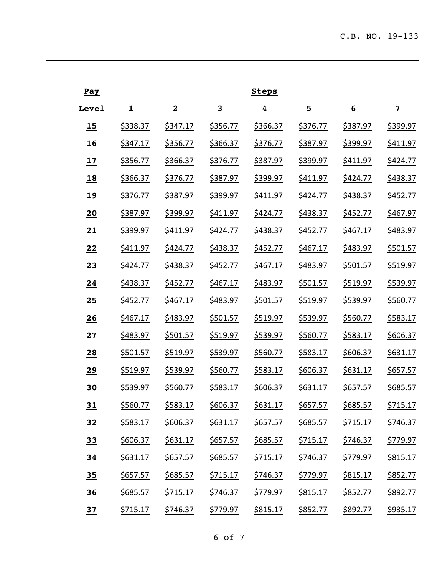| Pay   |                 |                 |                         | <b>Steps</b>    |                 |                 |                 |
|-------|-----------------|-----------------|-------------------------|-----------------|-----------------|-----------------|-----------------|
| Level | $\overline{1}$  | $\overline{2}$  | $\overline{\mathbf{3}}$ | $\overline{4}$  | $\overline{5}$  | $\underline{6}$ | $\overline{1}$  |
| 15    | \$338.37        | \$347.17        | \$356.77                | \$366.37        | \$376.77        | \$387.97        | <u>\$399.97</u> |
| 16    | \$347.17        | \$356.77        | \$366.37                | \$376.77        | \$387.97        | <u>\$399.97</u> | <u>\$411.97</u> |
| 17    | \$356.77        | \$366.37        | \$376.77                | \$387.97        | <u>\$399.97</u> | \$411.97        | \$424.77        |
| 18    | \$366.37        | \$376.77        | \$387.97                | \$399.97        | \$411.97        | \$424.77        | \$438.37        |
| 19    | \$376.77        | \$387.97        | \$399.97                | <u>\$411.97</u> | \$424.77        | \$438.37        | \$452.77        |
| 20    | \$387.97        | <u>\$399.97</u> | \$411.97                | \$424.77        | \$438.37        | \$452.77        | \$467.97        |
| 21    | <u>\$399.97</u> | <u>\$411.97</u> | \$424.77                | \$438.37        | \$452.77        | \$467.17        | \$483.97        |
| 22    | \$411.97        | \$424.77        | \$438.37                | \$452.77        | \$467.17        | \$483.97        | \$501.57        |
| 23    | \$424.77        | \$438.37        | \$452.77                | \$467.17        | \$483.97        | \$501.57        | \$519.97        |
| 24    | \$438.37        | \$452.77        | \$467.17                | \$483.97        | \$501.57        | <u>\$519.97</u> | \$539.97        |
| 25    | \$452.77        | \$467.17        | \$483.97                | \$501.57        | <u>\$519.97</u> | \$539.97        | \$560.77        |
| 26    | \$467.17        | \$483.97        | \$501.57                | <u>\$519.97</u> | \$539.97        | \$560.77        | \$583.17        |
| 27    | \$483.97        | \$501.57        | <u>\$519.97</u>         | <u>\$539.97</u> | \$560.77        | \$583.17        | \$606.37        |
| 28    | \$501.57        | <u>\$519.97</u> | <u>\$539.97</u>         | \$560.77        | \$583.17        | \$606.37        | \$631.17        |
| 29    | <u>\$519.97</u> | <u>\$539.97</u> | \$560.77                | \$583.17        | \$606.37        | \$631.17        | \$657.57        |
| 30    | \$539.97        | \$560.77        | \$583.17                | \$606.37        | \$631.17        | \$657.57        | \$685.57        |
| 31    | \$560.77        | \$583.17        | \$606.37                | \$631.17        | \$657.57        | \$685.57        | \$715.17        |
| 32    | \$583.17        | \$606.37        | \$631.17                | \$657.57        | \$685.57        | \$715.17        | \$746.37        |
| 33    | \$606.37        | \$631.17        | \$657.57                | \$685.57        | \$715.17        | \$746.37        | \$779.97        |
| 34    | \$631.17        | \$657.57        | \$685.57                | \$715.17        | \$746.37        | \$779.97        | \$815.17        |
| 35    | \$657.57        | \$685.57        | \$715.17                | \$746.37        | \$779.97        | \$815.17        | \$852.77        |
| 36    | \$685.57        | \$715.17        | \$746.37                | \$779.97        | \$815.17        | \$852.77        | \$892.77        |
| 37    | \$715.17        | \$746.37        | \$779.97                | \$815.17        | \$852.77        | \$892.77        | \$935.17        |